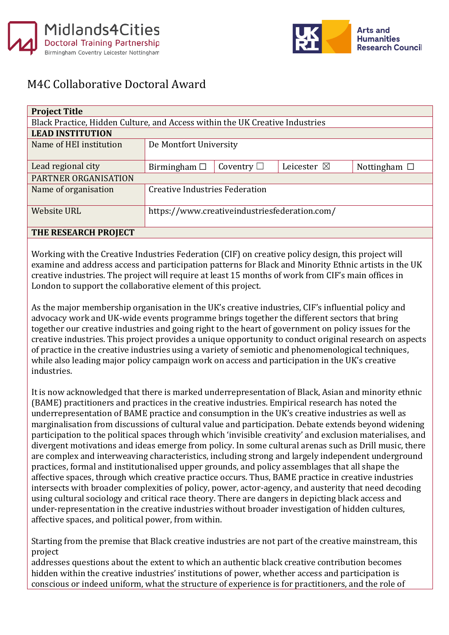



## M4C Collaborative Doctoral Award

| <b>Project Title</b>                                                         |                                               |                 |                       |                   |
|------------------------------------------------------------------------------|-----------------------------------------------|-----------------|-----------------------|-------------------|
| Black Practice, Hidden Culture, and Access within the UK Creative Industries |                                               |                 |                       |                   |
| <b>LEAD INSTITUTION</b>                                                      |                                               |                 |                       |                   |
| Name of HEI institution                                                      | De Montfort University                        |                 |                       |                   |
|                                                                              |                                               |                 |                       |                   |
| Lead regional city                                                           | Birmingham $\Box$                             | Coventry $\Box$ | Leicester $\boxtimes$ | Nottingham $\Box$ |
| PARTNER ORGANISATION                                                         |                                               |                 |                       |                   |
| Name of organisation                                                         | <b>Creative Industries Federation</b>         |                 |                       |                   |
|                                                                              |                                               |                 |                       |                   |
| <b>Website URL</b>                                                           | https://www.creativeindustriesfederation.com/ |                 |                       |                   |
|                                                                              |                                               |                 |                       |                   |
| TUE DECEADCU DDAIECT                                                         |                                               |                 |                       |                   |

## **THE RESEARCH PROJECT**

Working with the Creative Industries Federation (CIF) on creative policy design, this project will examine and address access and participation patterns for Black and Minority Ethnic artists in the UK creative industries. The project will require at least 15 months of work from CIF's main offices in London to support the collaborative element of this project.

As the major membership organisation in the UK's creative industries, CIF's influential policy and advocacy work and UK-wide events programme brings together the different sectors that bring together our creative industries and going right to the heart of government on policy issues for the creative industries. This project provides a unique opportunity to conduct original research on aspects of practice in the creative industries using a variety of semiotic and phenomenological techniques, while also leading major policy campaign work on access and participation in the UK's creative industries.

It is now acknowledged that there is marked underrepresentation of Black, Asian and minority ethnic (BAME) practitioners and practices in the creative industries. Empirical research has noted the underrepresentation of BAME practice and consumption in the UK's creative industries as well as marginalisation from discussions of cultural value and participation. Debate extends beyond widening participation to the political spaces through which 'invisible creativity' and exclusion materialises, and divergent motivations and ideas emerge from policy. In some cultural arenas such as Drill music, there are complex and interweaving characteristics, including strong and largely independent underground practices, formal and institutionalised upper grounds, and policy assemblages that all shape the affective spaces, through which creative practice occurs. Thus, BAME practice in creative industries intersects with broader complexities of policy, power, actor-agency, and austerity that need decoding using cultural sociology and critical race theory. There are dangers in depicting black access and under-representation in the creative industries without broader investigation of hidden cultures, affective spaces, and political power, from within.

Starting from the premise that Black creative industries are not part of the creative mainstream, this project

addresses questions about the extent to which an authentic black creative contribution becomes hidden within the creative industries' institutions of power, whether access and participation is conscious or indeed uniform, what the structure of experience is for practitioners, and the role of